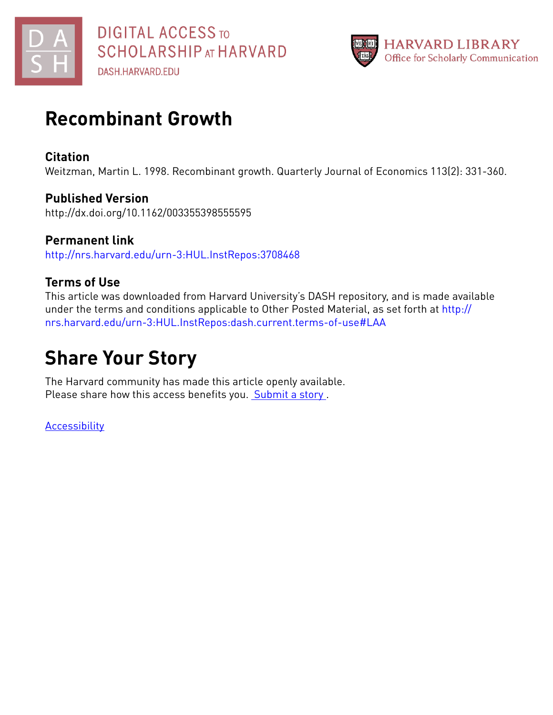



# **Recombinant Growth**

## **Citation**

Weitzman, Martin L. 1998. Recombinant growth. Quarterly Journal of Economics 113(2): 331-360.

## **Published Version**

http://dx.doi.org/10.1162/003355398555595

**Permanent link** <http://nrs.harvard.edu/urn-3:HUL.InstRepos:3708468>

## **Terms of Use**

This article was downloaded from Harvard University's DASH repository, and is made available under the terms and conditions applicable to Other Posted Material, as set forth at [http://](http://nrs.harvard.edu/urn-3:HUL.InstRepos:dash.current.terms-of-use#LAA) [nrs.harvard.edu/urn-3:HUL.InstRepos:dash.current.terms-of-use#LAA](http://nrs.harvard.edu/urn-3:HUL.InstRepos:dash.current.terms-of-use#LAA)

# **Share Your Story**

The Harvard community has made this article openly available. Please share how this access benefits you. [Submit](http://osc.hul.harvard.edu/dash/open-access-feedback?handle=&title=Recombinant%20Growth&community=1/1&collection=1/2&owningCollection1/2&harvardAuthors=2b466370557b53bf51f3415bbe3e4967&departmentEconomics) a story.

[Accessibility](https://dash.harvard.edu/pages/accessibility)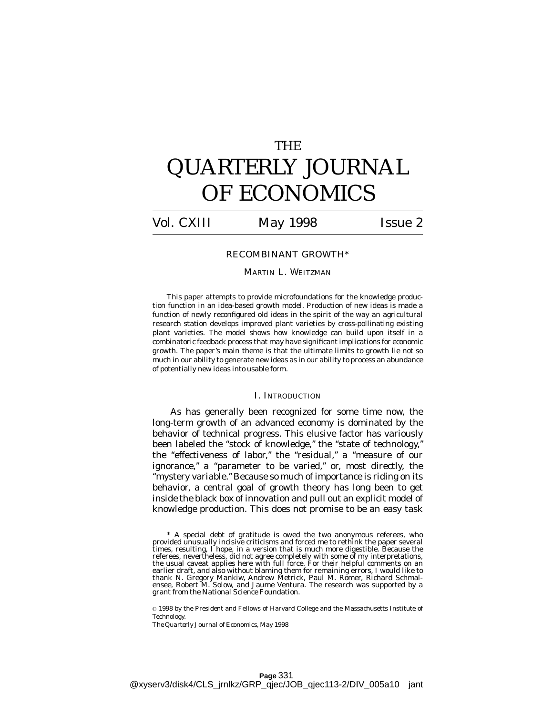## THE QUARTERLY JOURNAL OF ECONOMICS

### Vol. CXIII May 1998 Issue 2

#### RECOMBINANT GROWTH\*

#### MARTIN L. WEITZMAN

This paper attempts to provide microfoundations for the knowledge production function in an idea-based growth model. Production of new ideas is made a function of newly reconfigured old ideas in the spirit of the way an agricultural research station develops improved plant varieties by cross-pollinating existing plant varieties. The model shows how knowledge can build upon itself in a combinatoric feedback process that may have significant implications for economic growth. The paper's main theme is that the ultimate limits to growth lie not so much in our ability to generate new ideas as in our ability to process an abundance of potentially new ideas into usable form.

#### I. INTRODUCTION

As has generally been recognized for some time now, the long-term growth of an advanced economy is dominated by the behavior of technical progress. This elusive factor has variously been labeled the "stock of knowledge," the "state of technology," the ''effectiveness of labor,'' the ''residual,'' a ''measure of our ignorance," a "parameter to be varied," or, most directly, the ''mystery variable.'' Because so much of importance is riding on its behavior, a central goal of growth theory has long been to get inside the black box of innovation and pull out an explicit model of knowledge production. This does not promise to be an easy task

 $\odot$  1998 by the President and Fellows of Harvard College and the Massachusetts Institute of Technology.

<sup>\*</sup> A special debt of gratitude is owed the two anonymous referees, who provided unusually incisive criticisms and forced me to rethink the paper several times, resulting, I hope, in a version that is much more digestible. Because the referees, nevertheless, did not agree completely with some of my interpretations, the usual caveat applies here with full force. For their helpful comments on an earlier draft, and also without blaming them for remaining errors, I would like to<br>thank N. Gregory Mankiw, Andrew Metrick, Paul M. Romer, Richard Schmal-<br>ensee, Robert M. Solow, and Jaume Ventura. The research was support grant from the National Science Foundation.

*The Quarterly Journal of Economics,* May 1998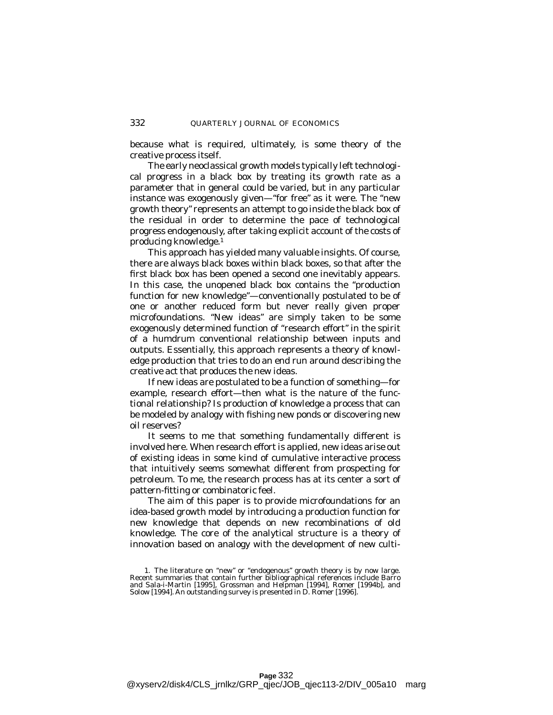because what is required, ultimately, is some theory of the creative process itself.

The early neoclassical growth models typically left technological progress in a black box by treating its growth rate as a parameter that in general could be varied, but in any particular instance was exogenously given—"for free" as it were. The "new growth theory'' represents an attempt to go inside the black box of the residual in order to determine the pace of technological progress endogenously, after taking explicit account of the costs of producing knowledge.1

This approach has yielded many valuable insights. Of course, there are always black boxes within black boxes, so that after the first black box has been opened a second one inevitably appears. In this case, the unopened black box contains the ''production function for new knowledge''—conventionally postulated to be of one or another reduced form but never really given proper microfoundations. ''New ideas'' are simply taken to be some exogenously determined function of ''research effort'' in the spirit of a humdrum conventional relationship between inputs and outputs. Essentially, this approach represents a theory of knowledge production that tries to do an end run around describing the creative act that produces the new ideas.

If new ideas are postulated to be a function of something—for example, research effort—then what is the nature of the functional relationship? Is production of knowledge a process that can be modeled by analogy with fishing new ponds or discovering new oil reserves?

It seems to me that something fundamentally different is involved here. When research effort is applied, new ideas arise out of existing ideas in some kind of cumulative interactive process that intuitively seems somewhat different from prospecting for petroleum. To me, the research process has at its center a sort of pattern-fitting or combinatoric feel.

The aim of this paper is to provide microfoundations for an idea-based growth model by introducing a production function for new knowledge that depends on new recombinations of old knowledge. The core of the analytical structure is a theory of innovation based on analogy with the development of new culti-

<sup>1.</sup> The literature on ''new'' or ''endogenous'' growth theory is by now large. Recent summaries that contain further bibliographical references include Barro and Sala-i-Martin [1995], Grossman and Helpman [1994], Romer [1994b], and Solow [1994]. An outstanding survey is presented in D. Romer [1996].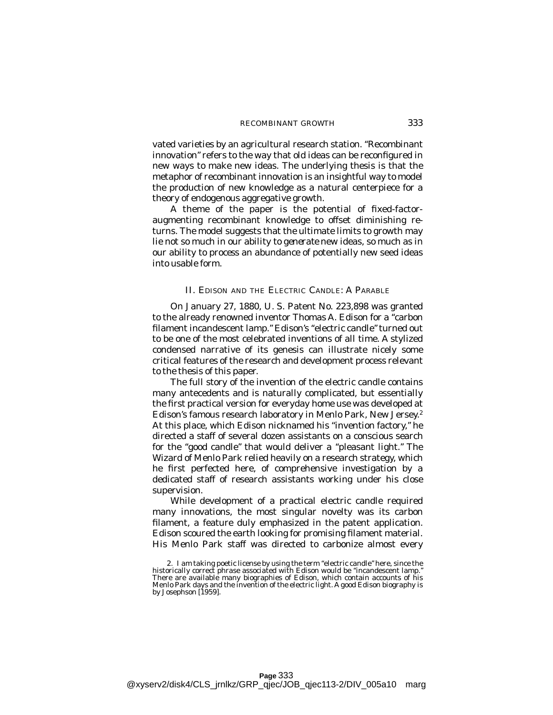vated varieties by an agricultural research station. ''Recombinant innovation'' refers to the way that old ideas can be reconfigured in new ways to make new ideas. The underlying thesis is that the metaphor of recombinant innovation is an insightful way to model the production of new knowledge as a natural centerpiece for a theory of endogenous aggregative growth.

A theme of the paper is the potential of fixed-factoraugmenting recombinant knowledge to offset diminishing returns. The model suggests that the ultimate limits to growth may lie not so much in our ability to *generate* new ideas, so much as in our ability to *process* an abundance of potentially new seed ideas into usable form.

#### II. EDISON AND THE ELECTRIC CANDLE: A PARABLE

On January 27, 1880, U. S. Patent No. 223,898 was granted to the already renowned inventor Thomas A. Edison for a ''carbon filament incandescent lamp.'' Edison's ''electric candle'' turned out to be one of the most celebrated inventions of all time. A stylized condensed narrative of its genesis can illustrate nicely some critical features of the research and development process relevant to the thesis of this paper.

The full story of the invention of the electric candle contains many antecedents and is naturally complicated, but essentially the first practical version for everyday home use was developed at Edison's famous research laboratory in Menlo Park, New Jersey.2 At this place, which Edison nicknamed his ''invention factory,'' he directed a staff of several dozen assistants on a conscious search for the "good candle" that would deliver a "pleasant light." The Wizard of Menlo Park relied heavily on a research strategy, which he first perfected here, of comprehensive investigation by a dedicated staff of research assistants working under his close supervision.

While development of a practical electric candle required many innovations, the most singular novelty was its carbon filament, a feature duly emphasized in the patent application. Edison scoured the earth looking for promising filament material. His Menlo Park staff was directed to carbonize almost every

<sup>2.</sup> I am taking poetic license by using the term ''electric candle'' here, since the historically correct phrase associated with Edison would be "incandescent lamp."<br>There are available many biographies of Edison, which contain accounts of his<br>Menlo Park days and the invention of the electric light. A good by Josephson [1959].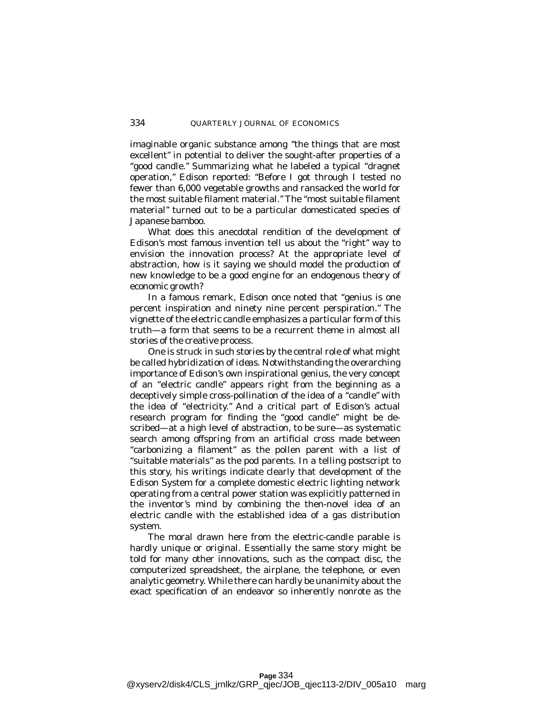imaginable organic substance among ''the things that are most excellent'' in potential to deliver the sought-after properties of a "good candle." Summarizing what he labeled a typical "dragnet operation,'' Edison reported: ''Before I got through I tested no fewer than 6,000 vegetable growths and ransacked the world for the most suitable filament material.'' The ''most suitable filament material'' turned out to be a particular domesticated species of Japanese bamboo.

What does this anecdotal rendition of the development of Edison's most famous invention tell us about the "right" way to envision the innovation process? At the appropriate level of abstraction, how is it saying we should model the production of new knowledge to be a good engine for an endogenous theory of economic growth?

In a famous remark, Edison once noted that ''genius is one percent inspiration and ninety nine percent perspiration.'' The vignette of the electric candle emphasizes a particular form of this truth—a form that seems to be a recurrent theme in almost all stories of the creative process.

One is struck in such stories by the central role of what might be called *hybridization of ideas.* Notwithstanding the overarching importance of Edison's own inspirational genius, the very concept of an ''electric candle'' appears right from the beginning as a deceptively simple cross-pollination of the idea of a "candle" with the idea of ''electricity.'' And a critical part of Edison's actual research program for finding the "good candle" might be described—at a high level of abstraction, to be sure—as systematic search among offspring from an artificial cross made between "carbonizing a filament" as the pollen parent with a list of ''suitable materials'' as the pod parents. In a telling postscript to this story, his writings indicate clearly that development of the Edison System for a complete domestic electric lighting network operating from a central power station was explicitly patterned in the inventor's mind by combining the then-novel idea of an electric candle with the established idea of a gas distribution system.

The moral drawn here from the electric-candle parable is hardly unique or original. Essentially the same story might be told for many other innovations, such as the compact disc, the computerized spreadsheet, the airplane, the telephone, or even analytic geometry. While there can hardly be unanimity about the exact specification of an endeavor so inherently nonrote as the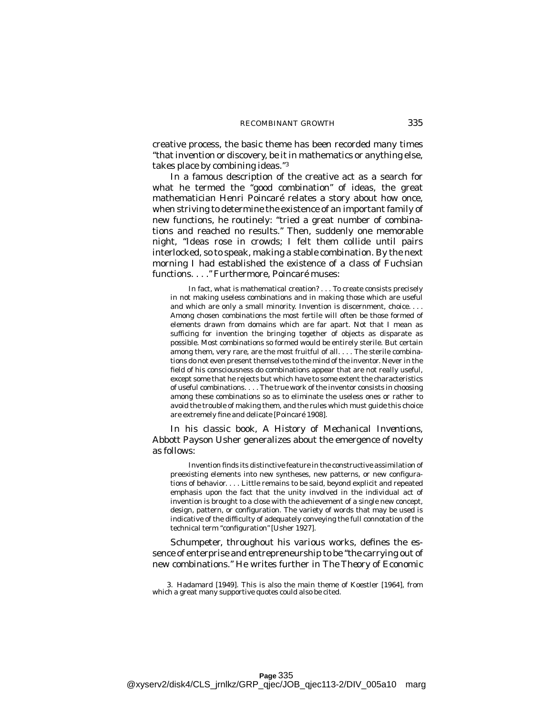creative process, the basic theme has been recorded many times ''that invention or discovery, be it in mathematics or anything else, takes place by combining ideas.''3

In a famous description of the creative act as a search for what he termed the "good combination" of ideas, the great mathematician Henri Poincaré relates a story about how once, when striving to determine the existence of an important family of new functions, he routinely: "tried a great number of combinations and reached no results.'' Then, suddenly one memorable night, ''Ideas rose in crowds; I felt them collide until pairs interlocked, so to speak, making a stable combination. By the next morning I had established the existence of a class of Fuchsian functions. . . . " Furthermore, Poincaré muses:

In fact, what is mathematical creation? . . . To create consists precisely in not making useless combinations and in making those which are useful and which are only a small minority. Invention is discernment, choice.... Among chosen combinations the most fertile will often be those formed of elements drawn from domains which are far apart. Not that I mean as sufficing for invention the bringing together of objects as disparate as possible. Most combinations so formed would be entirely sterile. But certain among them, very rare, are the most fruitful of all. . . . The sterile combinations do not even present themselves to the mind of the inventor. Never in the field of his consciousness do combinations appear that are not really useful, except some that he rejects but which have to some extent the characteristics of useful combinations. . . . The true work of the inventor consists in choosing among these combinations so as to eliminate the useless ones or rather to avoid the trouble of making them, and the rules which must guide this choice are extremely fine and delicate [Poincaré 1908].

In his classic book, *A History of Mechanical Inventions,* Abbott Payson Usher generalizes about the emergence of novelty as follows:

Invention finds its distinctive feature in the constructive assimilation of preexisting elements into new syntheses, new patterns, or new configurations of behavior.... Little remains to be said, beyond explicit and repeated emphasis upon the fact that the unity involved in the individual act of invention is brought to a close with the achievement of a single new concept, design, pattern, or configuration. The variety of words that may be used is indicative of the difficulty of adequately conveying the full connotation of the technical term "configuration" [Usher 1927].

Schumpeter, throughout his various works, defines the essence of enterprise and entrepreneurship to be ''the carrying out of new combinations.'' He writes further in *The Theory of Economic*

3. Hadamard [1949]. This is also the main theme of Koestler [1964], from which a great many supportive quotes could also be cited.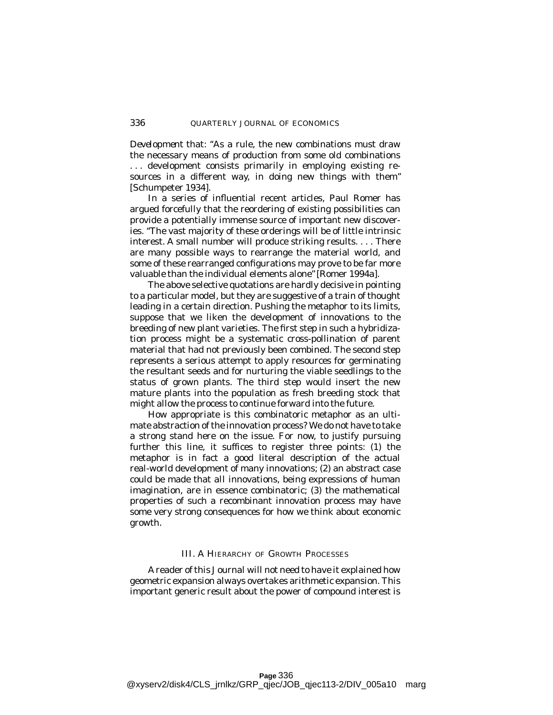*Development* that: ''As a rule, the new combinations must draw the necessary means of production from some old combinations ... development consists primarily in employing existing resources in a different way, in doing new things with them'' [Schumpeter 1934].

In a series of influential recent articles, Paul Romer has argued forcefully that the reordering of existing possibilities can provide a potentially immense source of important new discoveries. ''The vast majority of these orderings will be of little intrinsic interest. A small number will produce striking results.... There are many possible ways to rearrange the material world, and some of these rearranged configurations may prove to be far more valuable than the individual elements alone'' [Romer 1994a].

The above selective quotations are hardly decisive in pointing to a particular model, but they are suggestive of a train of thought leading in a certain direction. Pushing the metaphor to its limits, suppose that we liken the development of innovations to the breeding of new plant varieties. The first step in such a hybridization process might be a systematic cross-pollination of parent material that had not previously been combined. The second step represents a serious attempt to apply resources for germinating the resultant seeds and for nurturing the viable seedlings to the status of grown plants. The third step would insert the new mature plants into the population as fresh breeding stock that might allow the process to continue forward into the future.

How appropriate is this combinatoric metaphor as an ultimate abstraction of the innovation process? We do not have to take a strong stand here on the issue. For now, to justify pursuing further this line, it suffices to register three points: (1) the metaphor is in fact a good literal description of the actual real-world development of many innovations; (2) an abstract case could be made that *all* innovations, being expressions of human imagination, are in essence combinatoric; (3) the mathematical properties of such a recombinant innovation process may have some very strong consequences for how we think about economic growth.

#### III. A HIERARCHY OF GROWTH PROCESSES

A reader of this *Journal* will not need to have it explained how geometric expansion always overtakes arithmetic expansion. This important generic result about the power of compound interest is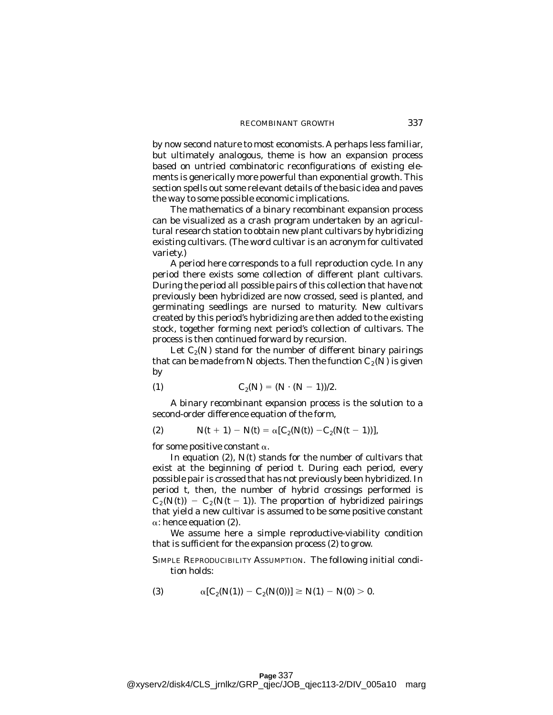by now second nature to most economists. A perhaps less familiar, but ultimately analogous, theme is how an expansion process based on untried combinatoric reconfigurations of existing elements is generically more powerful than exponential growth. This section spells out some relevant details of the basic idea and paves the way to some possible economic implications.

The mathematics of a binary recombinant expansion process can be visualized as a crash program undertaken by an agricultural research station to obtain new plant cultivars by hybridizing existing cultivars. (The word *cultivar* is an acronym for *culti*vated *var*iety.)

A period here corresponds to a full reproduction cycle. In any period there exists some collection of different plant cultivars. During the period all possible pairs of this collection that have not previously been hybridized are now crossed, seed is planted, and germinating seedlings are nursed to maturity. New cultivars created by this period's hybridizing are then added to the existing stock, together forming next period's collection of cultivars. The process is then continued forward by recursion.

Let  $C_2(N)$  stand for the number of different binary pairings that can be made from *N* objects. Then the function  $C_2(N)$  is given by

(1) 
$$
C_2(N) = (N \cdot (N-1))/2.
$$

A *binary recombinant expansion process* is the solution to a second-order difference equation of the form,

(2) 
$$
N(t+1) - N(t) = \alpha [C_2(N(t)) - C_2(N(t-1))],
$$

for some positive constant  $\alpha$ .

In equation (2), *N*(*t*) stands for the number of cultivars that exist at the beginning of period *t*. During each period, every possible pair is crossed that has not previously been hybridized. In period *t*, then, the number of hybrid crossings performed is  $C_2(N(t)) - C_2(N(t-1))$ . The proportion of hybridized pairings that yield a new cultivar is assumed to be some positive constant  $\alpha$ : hence equation (2).

We assume here a simple reproductive-viability condition that is sufficient for the expansion process (2) to grow.

SIMPLE REPRODUCIBILITY ASSUMPTION. The following initial condition holds:

(3) 
$$
\alpha[C_2(N(1)) - C_2(N(0))] \ge N(1) - N(0) > 0.
$$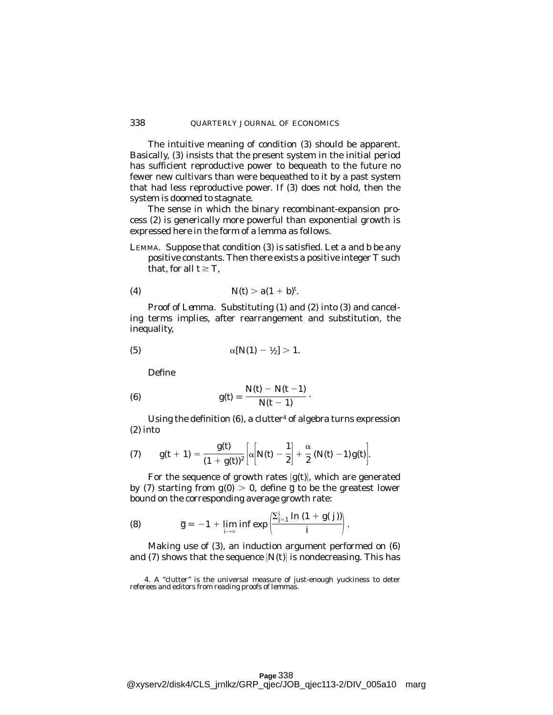The intuitive meaning of condition (3) should be apparent. Basically, (3) insists that the present system in the initial period has sufficient reproductive power to bequeath to the future no fewer new cultivars than were bequeathed to it by a past system that had less reproductive power. If (3) does *not* hold, then the system is doomed to stagnate.

The sense in which the binary recombinant-expansion process (2) is generically more powerful than exponential growth is expressed here in the form of a lemma as follows.

LEMMA. Suppose that condition (3) is satisfied. Let *a* and *b* be *any* positive constants. Then there exists a positive integer *T* such that, for all  $t \geq T$ ,

$$
(4) \hspace{3.1em} N(t) > a(1+b)^t.
$$

*Proof of Lemma.* Substituting (1) and (2) into (3) and canceling terms implies, after rearrangement and substitution, the inequality,

(5) 
$$
\alpha[N(1) - \frac{1}{2}] > 1.
$$

Define

(6) 
$$
g(t) = \frac{N(t) - N(t-1)}{N(t-1)}.
$$

Using the definition  $(6)$ , a clutter<sup>4</sup> of algebra turns expression (2) into

(7) 
$$
g(t+1) = \frac{g(t)}{(1+g(t))^2} \bigg[ \alpha \bigg[ N(t) - \frac{1}{2} \bigg] + \frac{\alpha}{2} (N(t) - 1) g(t) \bigg].
$$

For the sequence of growth rates  $[g(t)]$ , which are generated by (7) starting from  $g(0) > 0$ , define  $\bar{g}$  to be the greatest lower bound on the corresponding average growth rate:

(8) 
$$
\overline{g} = -1 + \lim_{j \to \infty} \inf \exp \left( \frac{\sum_{j=1}^{j} \ln (1 + g(j))}{j} \right).
$$

Making use of (3), an induction argument performed on (6) and (7) shows that the sequence  $|N(t)|$  is nondecreasing. This has

<sup>4.</sup> A ''clutter'' is the universal measure of just-enough yuckiness to deter referees and editors from reading proofs of lemmas.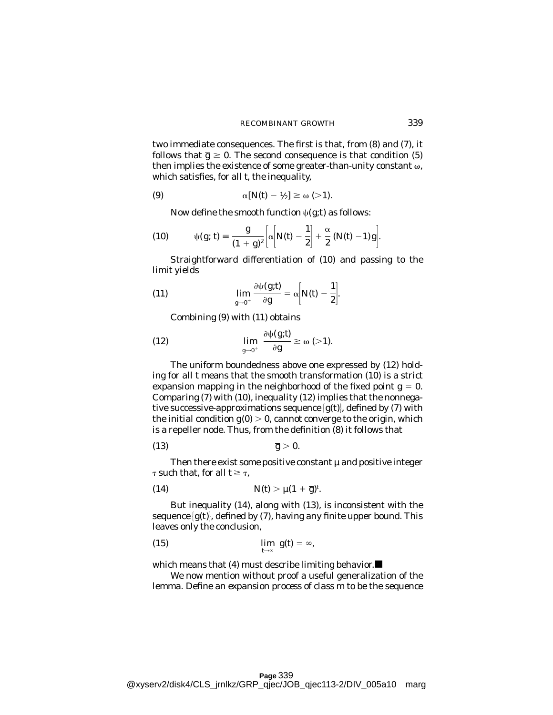two immediate consequences. The first is that, from (8) and (7), it follows that  $\bar{g} \ge 0$ . The second consequence is that condition (5) then implies the existence of some greater-than-unity constant  $\omega$ , which satisfies, for all *t*, the inequality,

$$
\alpha[N(t) - \frac{1}{2}] \geq \omega \quad (>1).
$$

Now define the smooth function  $\psi(g; t)$  as follows:

(10) 
$$
\psi(g; t) = \frac{g}{(1+g)^2} \bigg[ \alpha \bigg[ N(t) - \frac{1}{2} \bigg] + \frac{\alpha}{2} (N(t) - 1) g \bigg].
$$

Straightforward differentiation of (10) and passing to the limit yields

(11) 
$$
\lim_{g \to 0^+} \frac{\partial \psi(g,t)}{\partial g} = \alpha \bigg[ N(t) - \frac{1}{2} \bigg].
$$

Combining (9) with (11) obtains

(12) 
$$
\lim_{g \to 0^+} \frac{\partial \psi(g,t)}{\partial g} \ge \omega \; (>1).
$$

The uniform boundedness above one expressed by (12) holding for all *t* means that the smooth transformation (10) is a strict expansion mapping in the neighborhood of the fixed point  $g = 0$ . Comparing (7) with (10), inequality (12) implies that the nonnegative successive-approximations sequence  $[g(t)]$ , defined by (7) with the initial condition  $g(0) > 0$ , *cannot* converge to the origin, which is a repeller node. Thus, from the definition (8) it follows that

$$
\overline{g} > 0.
$$

Then there exist some positive constant  $\mu$  and positive integer  $\tau$  such that, for all  $t \geq \tau$ ,

$$
(14) \t\t N(t) > \mu(1 + \overline{g})^t.
$$

But inequality (14), along with (13), is inconsistent with the sequence  $[g(t)]$ , defined by (7), having any finite upper bound. This leaves only the conclusion,

$$
\lim_{t\to\infty} g(t) = \infty,
$$

which means that (4) must describe limiting behavior.

We now mention without proof a useful generalization of the lemma. Define an *expansion process of class m* to be the sequence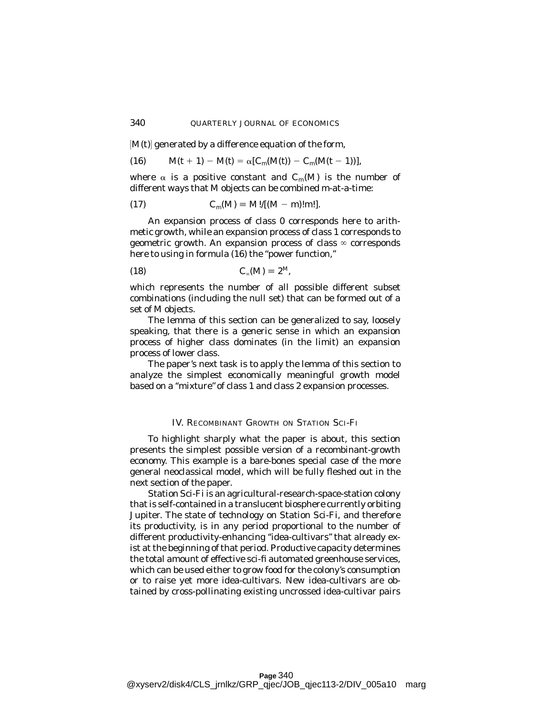$[M(t)]$  generated by a difference equation of the form,

(16) 
$$
M(t+1) - M(t) = \alpha [C_m(M(t)) - C_m(M(t-1))],
$$

where  $\alpha$  is a positive constant and  $C_m(M)$  is the number of different ways that *M* objects can be combined *m*-at-a-time:

(17) 
$$
C_m(M) \equiv M! / [(M-m)!m!].
$$

An expansion process of class 0 corresponds here to arithmetic growth, while an expansion process of class 1 corresponds to geometric growth. An expansion process of class  $\infty$  corresponds here to using in formula (16) the "power function,"

$$
C_{\infty}(M) \equiv 2^M,
$$

which represents the number of all possible different subset combinations (including the null set) that can be formed out of a set of *M* objects.

The lemma of this section can be generalized to say, loosely speaking, that there is a generic sense in which an expansion process of higher class dominates (in the limit) an expansion process of lower class.

The paper's next task is to apply the lemma of this section to analyze the simplest economically meaningful growth model based on a ''mixture'' of class 1 and class 2 expansion processes.

#### IV. RECOMBINANT GROWTH ON STATION SCI-FI

To highlight sharply what the paper is about, this section presents the simplest possible version of a recombinant-growth economy. This example is a bare-bones special case of the more general neoclassical model, which will be fully fleshed out in the next section of the paper.

Station Sci-Fi is an agricultural-research-space-station colony that is self-contained in a translucent biosphere currently orbiting Jupiter. The state of technology on Station Sci-Fi, and therefore its productivity, is in any period proportional to the number of different productivity-enhancing "idea-cultivars" that already exist at the beginning of that period. Productive capacity determines the total amount of effective sci-fi automated greenhouse services, which can be used either to grow food for the colony's consumption or to raise yet more idea-cultivars. New idea-cultivars are obtained by cross-pollinating existing uncrossed idea-cultivar pairs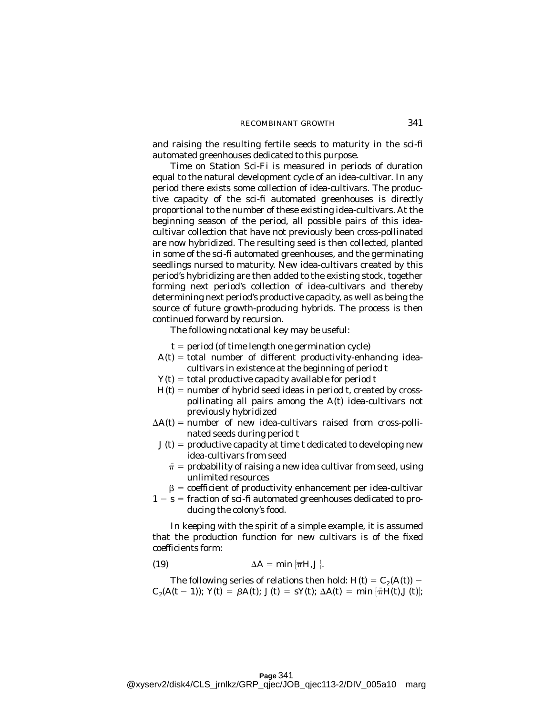and raising the resulting fertile seeds to maturity in the sci-fi automated greenhouses dedicated to this purpose.

Time on Station Sci-Fi is measured in periods of duration equal to the natural development cycle of an idea-cultivar. In any period there exists some collection of idea-cultivars. The productive capacity of the sci-fi automated greenhouses is directly proportional to the number of these existing idea-cultivars. At the beginning season of the period, all possible pairs of this ideacultivar collection that have not previously been cross-pollinated are now hybridized. The resulting seed is then collected, planted in some of the sci-fi automated greenhouses, and the germinating seedlings nursed to maturity. New idea-cultivars created by this period's hybridizing are then added to the existing stock, together forming next period's collection of idea-cultivars and thereby determining next period's productive capacity, as well as being the source of future growth-producing hybrids. The process is then continued forward by recursion.

The following notational key may be useful:

- $t =$  period (of time length one germination cycle)
- $A(t)$  = total number of different productivity-enhancing ideacultivars in existence at the beginning of period *t*
- $Y(t)$  = total productive capacity available for period *t*
- $H(t)$  = number of hybrid seed ideas in period *t*, created by crosspollinating all pairs among the *A*(*t*) idea-cultivars not previously hybridized
- $\Delta A(t)$  = number of new idea-cultivars raised from cross-pollinated seeds during period *t*
	- $J(t)$  = productive capacity at time *t* dedicated to developing new idea-cultivars from seed
		- $\bar{\pi}$  = probability of raising a new idea cultivar from seed, using unlimited resources
	- $\beta$  = coefficient of productivity enhancement per idea-cultivar
- $1 s$  = fraction of sci-fi automated greenhouses dedicated to producing the colony's food.

In keeping with the spirit of a simple example, it is assumed that the production function for new cultivars is of the fixed coefficients form:

$$
\Delta A = \min \left| \overline{\pi} H, J \right|.
$$

The following series of relations then hold:  $H(t) = C_2(A(t))$  –  $C_2(A(t-1))$ ;  $Y(t) = \beta A(t)$ ;  $J(t) = sY(t)$ ;  $\Delta A(t) = \min{\pi H(t), J(t)}$ ;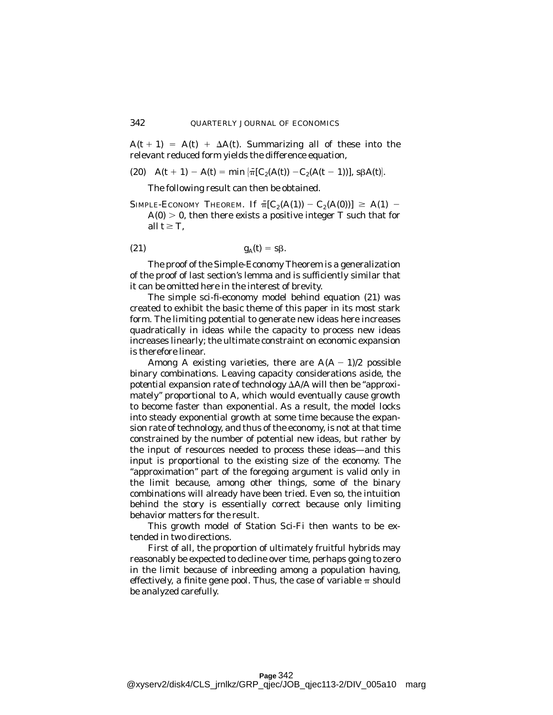$A(t+1) = A(t) + \Delta A(t)$ . Summarizing all of these into the relevant reduced form yields the difference equation,

(20) 
$$
A(t+1) - A(t) = \min \left[ \pi [C_2(A(t)) - C_2(A(t-1))], s\beta A(t) \right].
$$

The following result can then be obtained.

SIMPLE-ECONOMY THEOREM. If  $\bar{\pi} [C_2(A(1)) - C_2(A(0))] \ge A(1)$  $A(0) > 0$ , then there exists a positive integer *T* such that for all  $t \geq T$ .

$$
(21) \t\t g_A(t) = s\beta.
$$

The proof of the Simple-Economy Theorem is a generalization of the proof of last section's lemma and is sufficiently similar that it can be omitted here in the interest of brevity.

The simple sci-fi-economy model behind equation (21) was created to exhibit the basic theme of this paper in its most stark form. The limiting potential to generate new ideas here increases quadratically in ideas while the capacity to process new ideas increases linearly; the ultimate constraint on economic expansion is therefore linear.

Among *A* existing varieties, there are  $A(A - 1)/2$  possible binary combinations. Leaving capacity considerations aside, the *potential* expansion rate of technology  $\Delta A/A$  will then be "approximately'' proportional to *A*, which would eventually cause growth to become faster than exponential. As a result, the model locks into steady exponential growth at some time because the expansion rate of technology, and thus of the economy, is not at that time constrained by the number of potential new ideas, but rather by the input of resources needed to *process* these ideas—and this input is proportional to the existing size of the economy. The ''approximation'' part of the foregoing argument is valid only in the limit because, among other things, some of the binary combinations will already have been tried. Even so, the intuition behind the story is essentially correct because only limiting behavior matters for the result.

This growth model of Station Sci-Fi then wants to be extended in two directions.

First of all, the proportion of ultimately fruitful hybrids may reasonably be expected to decline over time, perhaps going to zero in the limit because of inbreeding among a population having, effectively, a finite gene pool. Thus, the case of variable  $\pi$  should be analyzed carefully.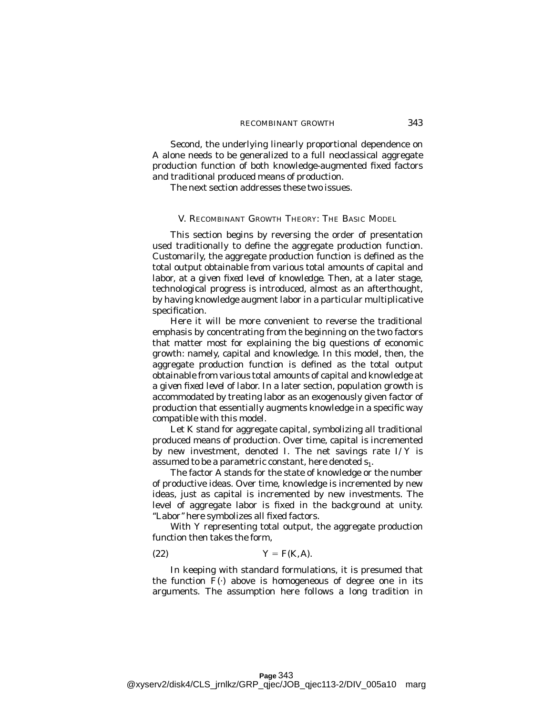Second, the underlying linearly proportional dependence on *A* alone needs to be generalized to a full neoclassical aggregate production function of both knowledge-augmented fixed factors *and* traditional produced means of production.

The next section addresses these two issues.

#### V. RECOMBINANT GROWTH THEORY: THE BASIC MODEL

This section begins by reversing the order of presentation used traditionally to define the aggregate production function. Customarily, the aggregate production function is defined as the total output obtainable from various total amounts of capital and labor, *at a given fixed level of knowledge.* Then, at a later stage, technological progress is introduced, almost as an afterthought, by having knowledge augment labor in a particular multiplicative specification.

Here it will be more convenient to reverse the traditional emphasis by concentrating from the beginning on the two factors that matter most for explaining the big questions of economic growth: namely, capital and knowledge. In this model, then, the aggregate production function is defined as the total output obtainable from various total amounts of capital and knowledge *at a given fixed level of labor.* In a later section, population growth is accommodated by treating labor as an exogenously given factor of production that essentially augments knowledge in a specific way compatible with this model.

Let *K* stand for aggregate capital, symbolizing all traditional produced means of production. Over time, capital is incremented by new investment, denoted *I*. The net savings rate *I/Y* is assumed to be a parametric constant, here denoted *s*1.

The factor *A* stands for the state of knowledge or the number of productive ideas. Over time, knowledge is incremented by new ideas, just as capital is incremented by new investments. The level of aggregate labor is fixed in the background at unity. ''Labor'' here symbolizes all fixed factors.

With *Y* representing total output, the aggregate production function then takes the form,

$$
(22) \t Y = F(K, A).
$$

In keeping with standard formulations, it is presumed that the function  $F()$  above is homogeneous of degree one in its arguments. The assumption here follows a long tradition in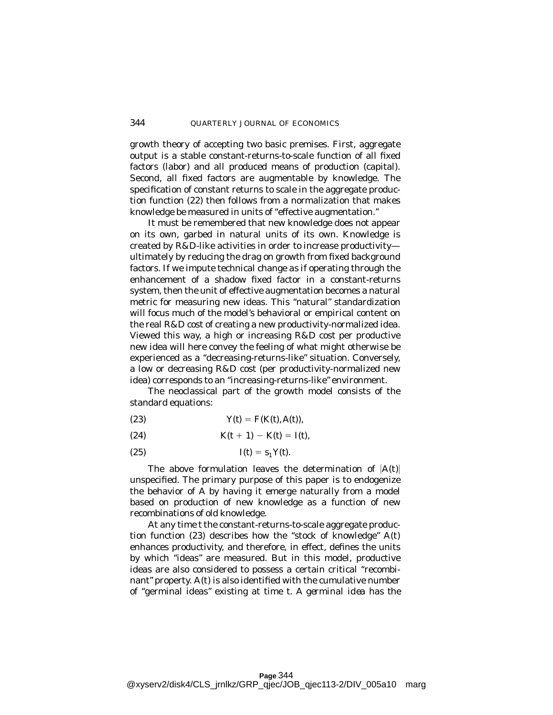growth theory of accepting two basic premises. First, aggregate output is a stable constant-returns-to-scale function of all fixed factors (labor) and all produced means of production (capital). Second, all fixed factors are augmentable by knowledge. The specification of constant returns to scale in the aggregate production function (22) then follows from a normalization that makes knowledge be measured in units of ''effective augmentation.''

It must be remembered that new knowledge does not appear on its own, garbed in natural units of its own. Knowledge is created by R&D-like activities in order to increase productivity ultimately by reducing the drag on growth from fixed background factors. If we impute technical change *as if* operating through the enhancement of a shadow fixed factor in a constant-returns system, then the unit of effective augmentation becomes a natural metric for measuring new ideas. This "natural" standardization will focus much of the model's behavioral or empirical content on the real R&D cost of creating a new productivity-normalized idea. Viewed this way, a high or increasing R&D cost per productive new idea will here convey the feeling of what might otherwise be experienced as a ''decreasing-returns-like'' situation. Conversely, a low or decreasing R&D cost (per productivity-normalized new idea) corresponds to an ''increasing-returns-like'' environment.

The neoclassical part of the growth model consists of the standard equations:

- (23)  $Y(t) = F(K(t), A(t)),$
- (24)  $K(t + 1) K(t) = I(t),$
- (25)  $I(t) = s_1 Y(t)$ .

The above formulation leaves the determination of  $\{A(t)\}$ unspecified. The primary purpose of this paper is to endogenize the behavior of *A* by having it emerge naturally from a model based on production of new knowledge as a function of new recombinations of old knowledge.

At any time *t* the constant-returns-to-scale aggregate production function (23) describes how the "stock of knowledge"  $A(t)$ enhances productivity, and therefore, in effect, defines the units by which ''ideas'' are measured. But in this model, productive ideas are also considered to possess a certain critical ''recombinant" property.  $A(t)$  is also identified with the cumulative number of ''germinal ideas'' existing at time *t*. *A germinal idea has the*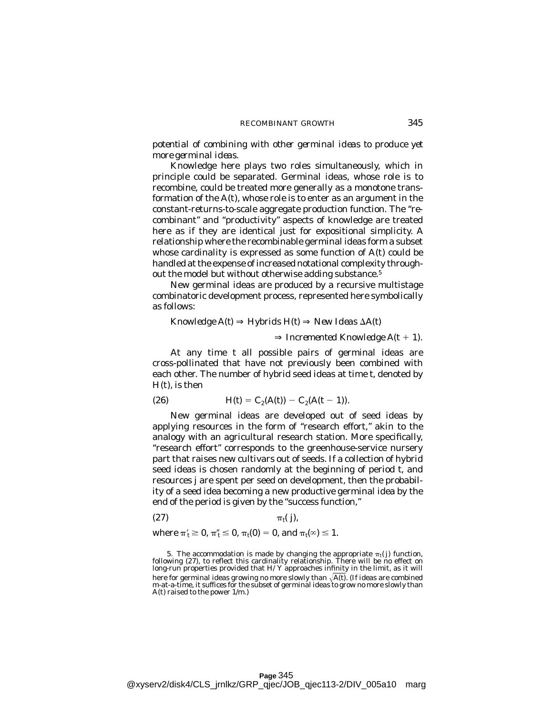*potential of combining with other germinal ideas to produce yet more germinal ideas.*

Knowledge here plays two roles simultaneously, which in principle could be separated. Germinal ideas, whose role is to recombine, could be treated more generally as a monotone transformation of the *A*(*t*), whose role is to enter as an argument in the constant-returns-to-scale aggregate production function. The ''recombinant'' and ''productivity'' aspects of knowledge are treated here as if they are identical just for expositional simplicity. A relationship where the recombinable germinal ideas form a subset whose cardinality is expressed as some function of *A*(*t*) could be handled at the expense of increased notational complexity throughout the model but without otherwise adding substance.<sup>5</sup>

New germinal ideas are produced by a recursive multistage combinatoric development process, represented here symbolically as follows:

#### *Knowledge A*(*t*)  $\Rightarrow$  *Hybrids H*(*t*)  $\Rightarrow$  *New Ideas*  $\Delta A(t)$

 $\Rightarrow$  *Incremented Knowledge A*( $t + 1$ ).

At any time *t* all possible pairs of germinal ideas are cross-pollinated that have not previously been combined with each other. The number of hybrid seed ideas at time *t*, denoted by  $H(t)$ , is then

(26) 
$$
H(t) = C_2(A(t)) - C_2(A(t-1)).
$$

New germinal ideas are developed out of seed ideas by applying resources in the form of ''research effort,'' akin to the analogy with an agricultural research station. More specifically, ''research effort'' corresponds to the greenhouse-service nursery part that raises new cultivars out of seeds. If a collection of hybrid seed ideas is chosen randomly at the beginning of period *t*, and resources *j* are spent per seed on development, then the probability of a seed idea becoming a new productive germinal idea by the end of the period is given by the ''success function,''

$$
\pi_t(j), \qquad \pi_t(j),
$$

where  $\pi'_{t} \ge 0$ ,  $\pi''_{t} \le 0$ ,  $\pi_{t}(0) = 0$ , and  $\pi_{t}(\infty) \le 1$ .

<sup>5.</sup> The accommodation is made by changing the appropriate  $\pi_t(j)$  function, following (27), to reflect this cardinality relationship. There will be no effect on long-run properties provided that  $H/Y$  approaches infinity in the limit, as it will here for germinal ideas growing no more slowly than  $\sqrt{A(t)}$ . (If ideas are combined *m*-at-a-time, it suffices for the subset of germinal ideas to grow no more slowly than *A*(*t*) raised to the power 1/*m*.)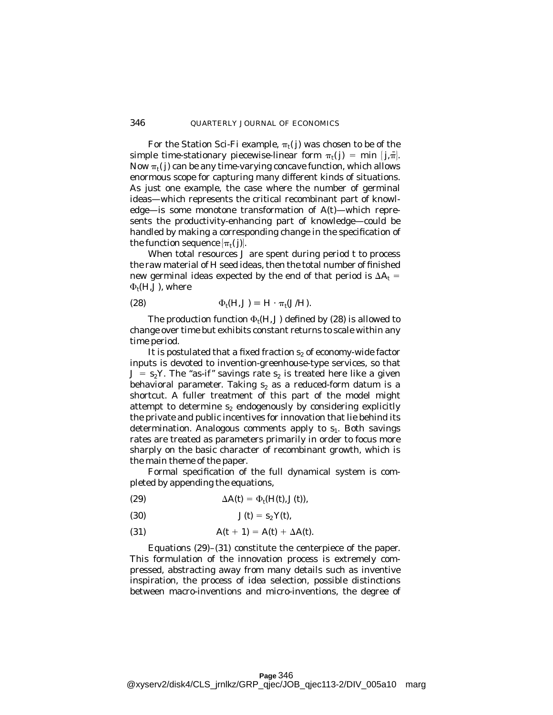For the Station Sci-Fi example,  $\pi_t(j)$  was chosen to be of the simple time-stationary piecewise-linear form  $\pi_t(j) = \min \{j, \overline{\pi}\}.$ Now  $\pi_t$ (*j*) can be any time-varying concave function, which allows enormous scope for capturing many different kinds of situations. As just one example, the case where the number of germinal ideas—which represents the critical recombinant part of knowledge—is some monotone transformation of *A*(*t*)—which represents the productivity-enhancing part of knowledge—could be handled by making a corresponding change in the specification of the function sequence  $\{\pi_t(\boldsymbol{\eta})\}$ .

When total resources *J* are spent during period *t* to process the raw material of *H* seed ideas, then the total number of finished new germinal ideas expected by the end of that period is  $\Delta A_t$  =  $\Phi$ <sub>t</sub> $(H, J)$ , where

$$
\Phi_t(H,J) \equiv H \cdot \pi_t(J/H).
$$

The production function  $\Phi_t(H, J)$  defined by (28) is allowed to change over time but exhibits constant returns to scale within any time period.

It is postulated that a fixed fraction  $s_2$  of economy-wide factor inputs is devoted to invention-greenhouse-type services, so that  $J = s<sub>2</sub>Y$ . The "as-if" savings rate  $s<sub>2</sub>$  is treated here like a given behavioral parameter. Taking  $s_2$  as a reduced-form datum is a shortcut. A fuller treatment of this part of the model might attempt to determine  $s_2$  endogenously by considering explicitly the private and public incentives for innovation that lie behind its determination. Analogous comments apply to  $s<sub>1</sub>$ . Both savings rates are treated as parameters primarily in order to focus more sharply on the basic character of recombinant growth, which is the main theme of the paper.

Formal specification of the full dynamical system is completed by appending the equations,

$$
\Delta A(t) = \Phi_t(H(t), J(t)),
$$

$$
J(t) = s_2 Y(t),
$$

$$
(31) \hspace{3.1em} A(t+1) = A(t) + \Delta A(t).
$$

Equations (29)–(31) constitute the centerpiece of the paper. This formulation of the innovation process is extremely compressed, abstracting away from many details such as inventive inspiration, the process of idea selection, possible distinctions between macro-inventions and micro-inventions, the degree of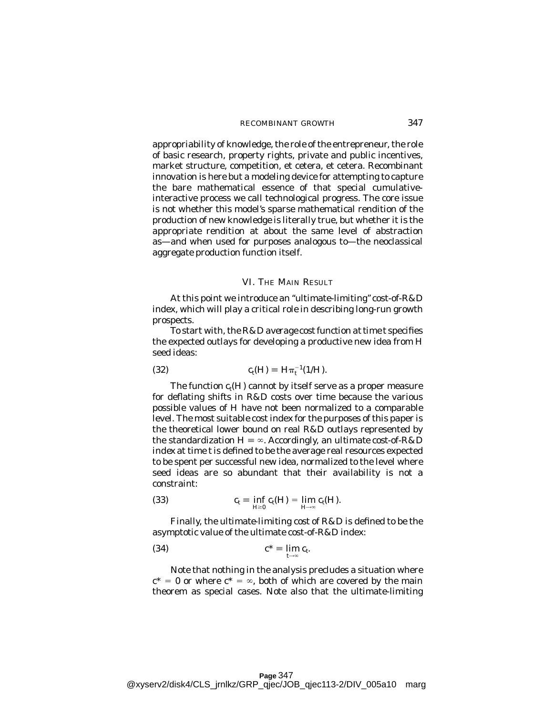appropriability of knowledge, the role of the entrepreneur, the role of basic research, property rights, private and public incentives, market structure, competition, et cetera, et cetera. Recombinant innovation is here but a modeling device for attempting to capture the bare mathematical essence of that special cumulativeinteractive process we call technological progress. The core issue is not whether this model's sparse mathematical rendition of the production of new knowledge is literally true, but whether it is the *appropriate* rendition at about the same level of abstraction as—and when used for purposes analogous to—the neoclassical aggregate production function itself.

#### VI. THE MAIN RESULT

At this point we introduce an ''ultimate-limiting'' cost-of-R&D index, which will play a critical role in describing long-run growth prospects.

To start with, the *R&D average cost function at time t* specifies the expected outlays for developing a productive new idea from *H* seed ideas:

(32) 
$$
c_t(H) \equiv H \pi_t^{-1}(1/H).
$$

The function  $c_f$ (*H*) cannot by itself serve as a proper measure for deflating shifts in R&D costs over time because the various possible values of *H* have not been normalized to a comparable level. The most suitable cost index for the purposes of this paper is the theoretical lower bound on real R&D outlays represented by the standardization  $H = \infty$ . Accordingly, an *ultimate cost-of-R&D index* at time *t* is defined to be the average real resources expected to be spent per successful new idea, normalized to the level where seed ideas are so abundant that their availability is not a constraint:

(33) 
$$
c_t \equiv \inf_{H \geq 0} c_t(H) = \lim_{H \to \infty} c_t(H).
$$

Finally, the *ultimate-limiting cost of R&D* is defined to be the asymptotic value of the ultimate cost-of-R&D index:

$$
c^* \equiv \lim_{t \to \infty} c_t
$$

Note that nothing in the analysis precludes a situation where  $c^* = 0$  or where  $c^* = \infty$ , both of which are covered by the main theorem as special cases. Note also that the ultimate-limiting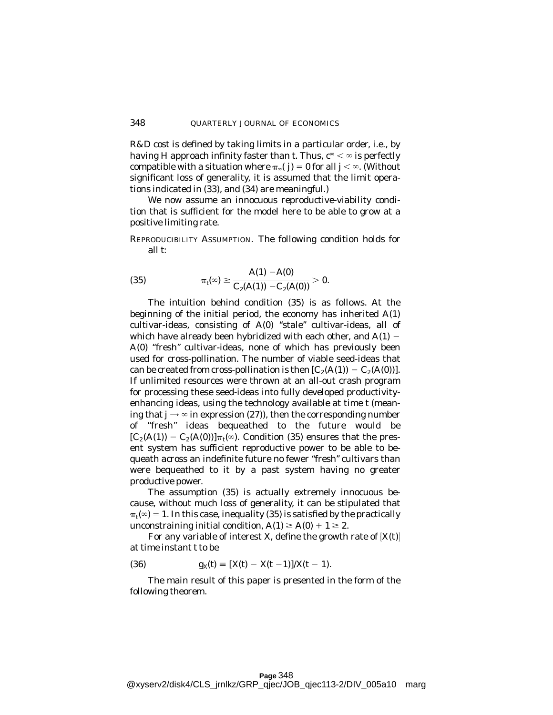R&D cost is defined by taking limits in a particular order, i.e., by having *H* approach infinity faster than *t*. Thus,  $c^* < \infty$  is perfectly compatible with a situation where  $\pi_{\infty}( j ) = 0$  for all  $j < \infty$ . (Without significant loss of generality, it is assumed that the limit operations indicated in (33), and (34) are meaningful.)

We now assume an innocuous reproductive-viability condition that is sufficient for the model here to be able to grow at a positive limiting rate.

REPRODUCIBILITY ASSUMPTION. The following condition holds for all *t*:

(35) 
$$
\pi_t(\infty) \geq \frac{A(1) - A(0)}{C_2(A(1)) - C_2(A(0))} > 0.
$$

The intuition behind condition (35) is as follows. At the beginning of the initial period, the economy has inherited *A*(1) cultivar-ideas, consisting of *A*(0) ''stale'' cultivar-ideas, all of which have already been hybridized with each other, and  $A(1)$  – *A*(0) "fresh" cultivar-ideas, none of which has previously been used for cross-pollination. The number of viable seed-ideas that can be created from cross-pollination is then  $[C_2(A(1)) - C_2(A(0))]$ . If unlimited resources were thrown at an all-out crash program for processing these seed-ideas into fully developed productivityenhancing ideas, using the technology available at time *t* (meaning that  $j \rightarrow \infty$  in expression (27)), then the corresponding number of ''fresh'' ideas bequeathed to the future would be  $[C_2(A(1)) - C_2(A(0))] \pi_t(\infty)$ . Condition (35) ensures that the present system has sufficient reproductive power to be able to bequeath across an indefinite future no fewer "fresh" cultivars than were bequeathed to it by a past system having no greater productive power.

The assumption (35) is actually extremely innocuous because, without much loss of generality, it can be stipulated that  $\pi_t(\infty) = 1$ . In this case, inequality (35) is satisfied by the practically unconstraining initial condition,  $A(1) \ge A(0) + 1 \ge 2$ .

For any variable of interest *X*, define the growth rate of  $|X(t)|$ at time instant *t* to be

(36) 
$$
g_X(t) = [X(t) - X(t-1)]/X(t-1).
$$

The main result of this paper is presented in the form of the following theorem.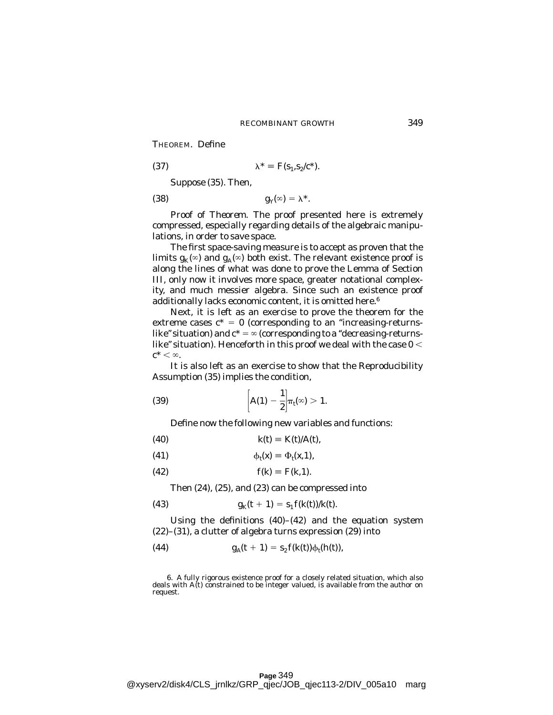THEOREM. Define

$$
\lambda^* \equiv F(s_1, s_2/c^*).
$$

Suppose (35). Then,

(38)  $g_y(\infty) = \lambda^*$ .

*Proof of Theorem.* The proof presented here is extremely compressed, especially regarding details of the algebraic manipulations, in order to save space.

The first space-saving measure is to accept as proven that the limits  $g_K(\infty)$  and  $g_A(\infty)$  both exist. The relevant existence proof is along the lines of what was done to prove the Lemma of Section III, only now it involves more space, greater notational complexity, and much messier algebra. Since such an existence proof additionally lacks economic content, it is omitted here.<sup>6</sup>

Next, it is left as an exercise to prove the theorem for the extreme cases  $c^* = 0$  (corresponding to an "increasing-returnslike" situation) and  $c^* = \infty$  (corresponding to a "decreasing-returnslike" situation). Henceforth in this proof we deal with the case  $0 <$  $c^*$  <  $\infty$ .

It is also left as an exercise to show that the Reproducibility Assumption (35) implies the condition,

$$
(39) \qquad \qquad \bigg[ A(1) - \frac{1}{2} \bigg] \pi_t(\infty) > 1.
$$

Define now the following new variables and functions:

$$
(40) \t\t k(t) \equiv K(t) / A(t),
$$

$$
\varphi_t(x) \equiv \Phi_t(x,1),
$$

$$
(42) \t\t f(k) \equiv F(k,1).
$$

Then (24), (25), and (23) can be compressed into

(43) 
$$
g_K(t+1) = s_1 f(k(t))/k(t).
$$

Using the definitions (40)–(42) and the equation system (22)–(31), a clutter of algebra turns expression (29) into

(44) 
$$
g_A(t+1) = s_2 f(k(t)) \phi_t(h(t)),
$$

6. A fully rigorous existence proof for a closely related situation, which also deals with  $A(t)$  constrained to be integer valued, is available from the author on request.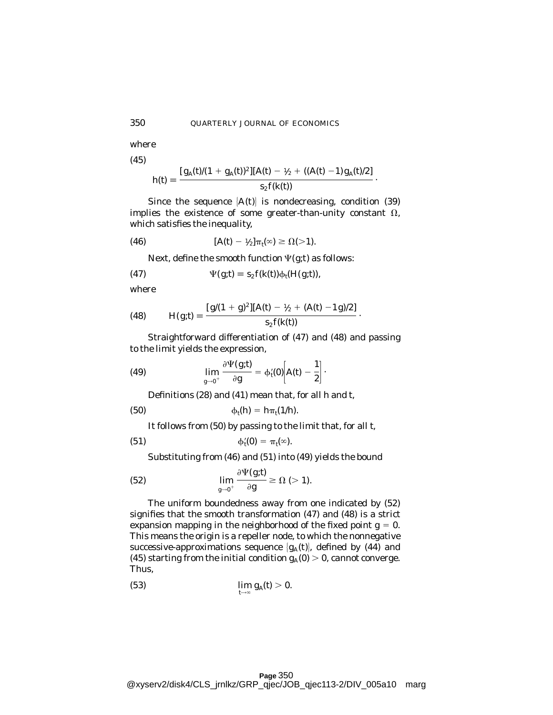where

(45)  

$$
h(t) = \frac{[g_A(t)/(1+g_A(t))^2][A(t) - \frac{1}{2} + ((A(t)-1)g_A(t)/2)]}{s_2 f(k(t))}.
$$

Since the sequence  $\{A(t)\}\$ is nondecreasing, condition (39) implies the existence of some greater-than-unity constant  $\Omega$ , which satisfies the inequality,

(46) 
$$
[A(t) - \frac{1}{2}] \pi_t(\infty) \geq \Omega(>1).
$$

Next, define the smooth function  $\Psi(g;t)$  as follows:

(47) 
$$
\Psi(g,t) \equiv s_2 f(k(t)) \phi_t(H(g,t)),
$$

where

(48) 
$$
H(g; t) = \frac{[g'(1+g)^2][A(t) - \frac{1}{2} + (A(t) - 1g)/2]}{s_2 f(k(t))}.
$$

Straightforward differentiation of (47) and (48) and passing to the limit yields the expression,

(49) 
$$
\lim_{g \to 0^+} \frac{\partial \Psi(g,t)}{\partial g} = \phi'_t(0) \bigg[ A(t) - \frac{1}{2} \bigg].
$$

Definitions (28) and (41) mean that, for all *h* and *t*,

$$
(50) \qquad \qquad \Phi_t(h) = h \pi_t(1/h).
$$

It follows from (50) by passing to the limit that, for all *t*,

$$
\varphi'_t(0) = \pi_t(\infty).
$$

Substituting from (46) and (51) into (49) yields the bound

(52) 
$$
\lim_{g \to 0^+} \frac{\partial \Psi(g,t)}{\partial g} \ge \Omega \; (>1).
$$

The uniform boundedness away from one indicated by (52) signifies that the smooth transformation (47) and (48) is a strict expansion mapping in the neighborhood of the fixed point  $g = 0$ . This means the origin is a repeller node, to which the nonnegative successive-approximations sequence  $[g_A(t)]$ , defined by (44) and (45) starting from the initial condition  $g_A(0) > 0$ , *cannot* converge. Thus,

$$
\lim_{t\to\infty}g_A(t)>0.
$$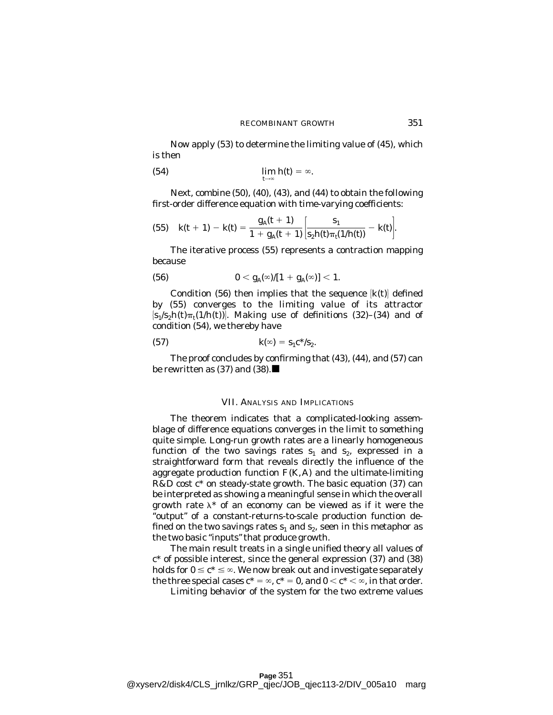Now apply (53) to determine the limiting value of (45), which is then

$$
\lim_{t\to\infty}h(t)=\infty.
$$

Next, combine (50), (40), (43), and (44) to obtain the following first-order difference equation with time-varying coefficients:

(55) 
$$
k(t+1) - k(t) = \frac{g_A(t+1)}{1 + g_A(t+1)} \left[ \frac{s_1}{s_2 h(t) \pi_t(1/h(t))} - k(t) \right].
$$

The iterative process (55) represents a contraction mapping because

(56) 
$$
0 < g_A(\infty)/[1 + g_A(\infty)] < 1.
$$

Condition (56) then implies that the sequence  $\{k(t)\}\$  defined by (55) converges to the limiting value of its attractor  $\{s_1/s_2h(t)\pi_t(1/h(t))\}$ . Making use of definitions (32)–(34) and of condition (54), we thereby have

$$
k(\infty) = s_1 c^{*}/s_2.
$$

The proof concludes by confirming that (43), (44), and (57) can be rewritten as (37) and (38).

#### VII. ANALYSIS AND IMPLICATIONS

The theorem indicates that a complicated-looking assemblage of difference equations converges in the limit to something quite simple. Long-run growth rates are a linearly homogeneous function of the two savings rates  $s_1$  and  $s_2$ , expressed in a straightforward form that reveals directly the influence of the aggregate production function  $F(K, A)$  and the ultimate-limiting R&D cost *c*\* on steady-state growth. The basic equation (37) can be interpreted as showing a meaningful sense in which the overall growth rate  $\lambda^*$  of an economy can be viewed *as if* it were the ''output'' of a constant-returns-to-scale production function defined on the two savings rates  $s_1$  and  $s_2$ , seen in this metaphor as the two basic ''inputs'' that produce growth.

The main result treats in a single unified theory all values of  $c^*$  of possible interest, since the general expression  $(37)$  and  $(38)$ holds for  $0 \leq c^* \leq \infty$ . We now break out and investigate separately the three special cases  $c^* = \infty$ ,  $c^* = 0$ , and  $0 < c^* < \infty$ , in that order.

Limiting behavior of the system for the two extreme values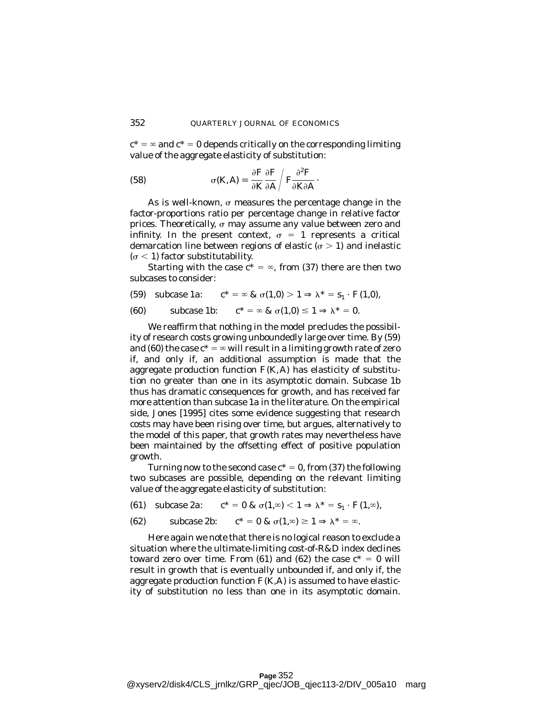$c^* = \infty$  and  $c^* = 0$  depends critically on the corresponding limiting value of the aggregate elasticity of substitution:

(58) 
$$
\sigma(K, A) = \frac{\partial F}{\partial K} \frac{\partial F}{\partial A} / F \frac{\partial^2 F}{\partial K \partial A}.
$$

As is well-known,  $\sigma$  measures the percentage change in the factor-proportions ratio per percentage change in relative factor prices. Theoretically,  $\sigma$  may assume any value between zero and infinity. In the present context,  $\sigma = 1$  represents a critical demarcation line between regions of elastic ( $\sigma > 1$ ) and inelastic  $(\sigma < 1)$  factor substitutability.

Starting with the case  $c^* = \infty$ , from (37) there are then two subcases to consider:

- (59) subcase 1*a*:  $c^* = \infty \& \sigma(1,0) > 1 \Rightarrow \lambda^* = s_1 \cdot F(1,0)$ ,
- (60) subcase 1*b*:  $c^* = \infty \& \sigma(1,0) \leq 1 \Rightarrow \lambda^* = 0.$

We reaffirm that nothing in the model precludes the possibility of research costs growing unboundedly large over time. By (59) and (60) the case  $c^* = \infty$  will result in a limiting growth rate of zero if, and only if, an additional assumption is made that the aggregate production function  $F(K, A)$  has elasticity of substitution no greater than one in its asymptotic domain. Subcase 1*b* thus has dramatic consequences for growth, and has received far more attention than subcase 1*a* in the literature. On the empirical side, Jones [1995] cites some evidence suggesting that research costs may have been rising over time, but argues, alternatively to the model of this paper, that growth rates may nevertheless have been maintained by the offsetting effect of positive population growth.

Turning now to the second case  $c^* = 0$ , from (37) the following two subcases are possible, depending on the relevant limiting value of the aggregate elasticity of substitution:

- (61) subcase 2*a*:  $c^* = 0$  &  $\sigma(1, \infty) < 1 \Rightarrow \lambda^* = s_1 \cdot F(1, \infty)$ ,
- (62) subcase 2*b*:  $c^* = 0$  &  $\sigma(1, \infty) \ge 1 \Rightarrow \lambda^* = \infty$ .

Here again we note that there is no logical reason to exclude a situation where the ultimate-limiting cost-of-R&D index declines toward zero over time. From (61) and (62) the case  $c^* = 0$  will result in growth that is eventually unbounded if, and only if, the aggregate production function  $F(K, A)$  is assumed to have elasticity of substitution no less than one in its asymptotic domain.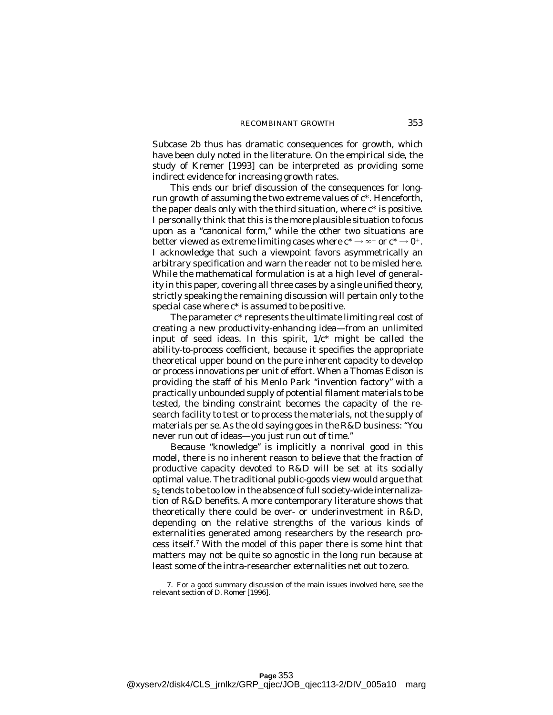Subcase 2*b* thus has dramatic consequences for growth, which have been duly noted in the literature. On the empirical side, the study of Kremer [1993] can be interpreted as providing some indirect evidence for increasing growth rates.

This ends our brief discussion of the consequences for longrun growth of assuming the two extreme values of *c*\*. Henceforth, the paper deals only with the third situation, where *c*\* is positive. I personally think that this is the more plausible situation to focus upon as a ''canonical form,'' while the other two situations are better viewed as extreme limiting cases where  $c^* \rightarrow \infty^-$  or  $c^* \rightarrow 0^+$ . I acknowledge that such a viewpoint favors asymmetrically an arbitrary specification and warn the reader not to be misled here. While the mathematical formulation is at a high level of generality in this paper, covering all three cases by a single unified theory, strictly speaking the remaining discussion will pertain only to the special case where *c*\* is assumed to be positive.

The parameter  $c^*$  represents the ultimate limiting real cost of creating a new productivity-enhancing idea—from an unlimited input of seed ideas. In this spirit, 1/*c*\* might be called the *ability-to-process* coefficient, because it specifies the appropriate theoretical upper bound on the pure inherent capacity to develop or process innovations per unit of effort. When a Thomas Edison is providing the staff of his Menlo Park ''invention factory'' with a practically unbounded supply of potential filament materials to be tested, the binding constraint becomes the capacity of the research facility to test or to process the materials, not the supply of materials per se. As the old saying goes in the R&D business: ''You never run out of ideas—you just run out of time.''

Because "knowledge" is implicitly a nonrival good in this model, there is no inherent reason to believe that the fraction of productive capacity devoted to R&D will be set at its socially optimal value. The traditional public-goods view would argue that *s*<sup>2</sup> tends to be too low in the absence of full society-wide internalization of R&D benefits. A more contemporary literature shows that theoretically there could be over- or underinvestment in R&D, depending on the relative strengths of the various kinds of externalities generated among researchers by the research process itself.7 With the model of this paper there is some hint that matters may not be quite so agnostic in the long run because at least some of the intra-researcher externalities net out to zero.

7. For a good summary discussion of the main issues involved here, see the relevant section of D. Romer [1996].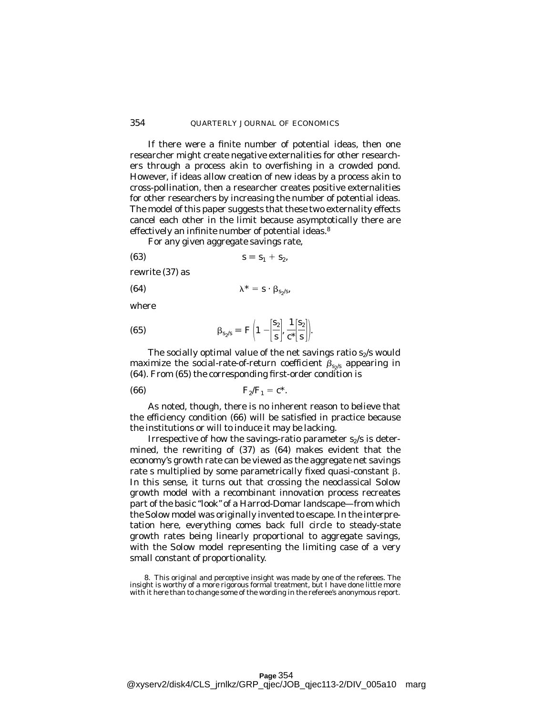If there were a finite number of potential ideas, then one researcher might create negative externalities for other researchers through a process akin to overfishing in a crowded pond. However, if ideas allow creation of new ideas by a process akin to cross-pollination, then a researcher creates positive externalities for other researchers by increasing the number of potential ideas. The model of this paper suggests that these two externality effects cancel each other in the limit because asymptotically there are effectively an infinite number of potential ideas.8

For any given aggregate savings rate,

$$
(63) \t\t\t s \equiv s_1 + s_2,
$$

rewrite (37) as

$$
\lambda^* = s \cdot \beta_{s_2/s'}
$$

where

(65) 
$$
\beta_{s_2/s} \equiv F\left(1 - \frac{s_2}{s}\right), \frac{1}{c^*} \frac{s_2}{s}\bigg].
$$

The socially optimal value of the net savings ratio  $s_2/s$  would maximize the social-rate-of-return coefficient  $\beta_{s,s}$  appearing in (64). From (65) the corresponding first-order condition is

$$
F_2/F_1 = c^*.
$$

As noted, though, there is no inherent reason to believe that the efficiency condition (66) will be satisfied in practice because the institutions or will to induce it may be lacking.

Irrespective of how the savings-ratio parameter  $s_2/s$  is determined, the rewriting of (37) as (64) makes evident that the economy's growth rate can be viewed as the aggregate net savings rate *s* multiplied by some parametrically fixed quasi-constant b. In this sense, it turns out that crossing the neoclassical Solow growth model with a recombinant innovation process recreates part of the basic ''look'' of a Harrod-Domar landscape—from which the Solow model was originally invented to escape. In the interpretation here, everything comes back full circle to steady-state growth rates being linearly proportional to aggregate savings, with the Solow model representing the limiting case of a very small constant of proportionality.

<sup>8.</sup> This original and perceptive insight was made by one of the referees. The insight is worthy of a more rigorous formal treatment, but I have done little more with it here than to change some of the wording in the referee's anonymous report.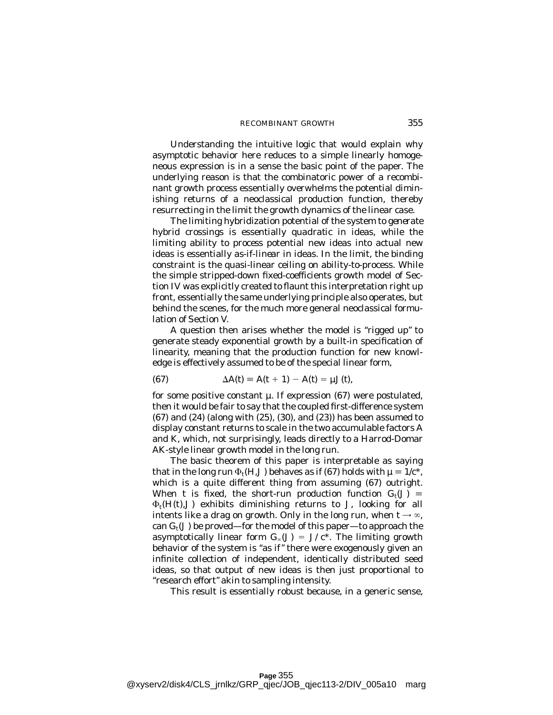#### *RECOMBINANT GROWTH* 355

Understanding the intuitive logic that would explain why asymptotic behavior here reduces to a simple linearly homogeneous expression is in a sense the basic point of the paper. The underlying reason is that the combinatoric power of a recombinant growth process essentially overwhelms the potential diminishing returns of a neoclassical production function, thereby resurrecting in the limit the growth dynamics of the linear case.

The limiting hybridization potential of the system to *generate* hybrid crossings is essentially *quadratic* in ideas, while the limiting ability to *process* potential new ideas into actual new ideas is essentially *as-if-linear* in ideas. In the limit, the binding constraint is the quasi-linear ceiling on ability-to-process. While the simple stripped-down fixed-coefficients growth model of Section IV was explicitly created to flaunt this interpretation right up front, essentially the same underlying principle also operates, but behind the scenes, for the much more general neoclassical formulation of Section V.

A question then arises whether the model is "rigged up" to generate steady exponential growth by a built-in specification of linearity, meaning that the production function for new knowledge is effectively assumed to be of the special linear form,

(67) 
$$
\Delta A(t) \equiv A(t+1) - A(t) = \mu J(t),
$$

for some positive constant  $\mu$ . If expression (67) were postulated, then it would be fair to say that the coupled first-difference system (67) and (24) (along with (25), (30), and (23)) has been assumed to display constant returns to scale in the two accumulable factors *A* and *K*, which, not surprisingly, leads directly to a Harrod-Domar *AK*-style linear growth model in the long run.

The basic theorem of this paper is interpretable as saying that in the long run  $\Phi_t(H, J)$  behaves *as if* (67) holds with  $\mu = 1/c^*$ , which is a quite different thing from assuming (67) outright. When *t* is fixed, the short-run production function  $G_t(J)$  =  $\Phi_t(H(t),J)$  exhibits diminishing returns to *J*, looking for all intents like a drag on growth. Only in the long run, when  $t \rightarrow \infty$ , can  $G_t(J)$  be proved—for the model of this paper—to approach the asymptotically linear form  $G_{\infty}(J) = J/c^*$ . The limiting growth behavior of the system is "as if" there were exogenously given an infinite collection of independent, identically distributed seed ideas, so that output of new ideas is then just proportional to ''research effort'' akin to sampling intensity.

This result is essentially robust because, in a generic sense,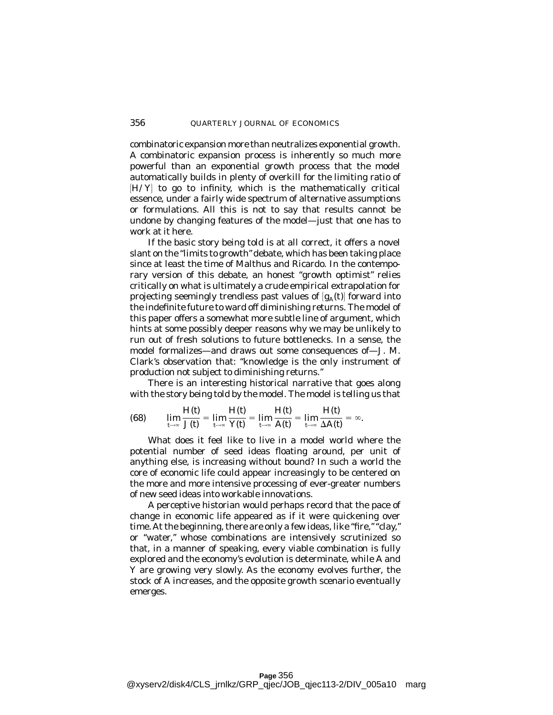combinatoric expansion more than neutralizes exponential growth. A combinatoric expansion process is inherently so much more powerful than an exponential growth process that the model automatically builds in plenty of overkill for the limiting ratio of  $H/Y$  to go to infinity, which is the mathematically critical essence, under a fairly wide spectrum of alternative assumptions or formulations. All this is not to say that results cannot be undone by changing features of the model—just that one has to work at it here.

If the basic story being told is at all correct, it offers a novel slant on the ''limits to growth'' debate, which has been taking place since at least the time of Malthus and Ricardo. In the contemporary version of this debate, an honest "growth optimist" relies critically on what is ultimately a crude empirical extrapolation for projecting seemingly trendless past values of  $[g_A(t)]$  forward into the indefinite future to ward off diminishing returns. The model of this paper offers a somewhat more subtle line of argument, which hints at some possibly deeper reasons why we may be unlikely to run out of fresh solutions to future bottlenecks. In a sense, the model formalizes—and draws out some consequences of—J. M. Clark's observation that: ''knowledge is the only instrument of production not subject to diminishing returns.''

There is an interesting historical narrative that goes along with the story being told by the model. The model is telling us that

(68) 
$$
\lim_{t\to\infty}\frac{H(t)}{J(t)}=\lim_{t\to\infty}\frac{H(t)}{Y(t)}=\lim_{t\to\infty}\frac{H(t)}{A(t)}=\lim_{t\to\infty}\frac{H(t)}{\Delta A(t)}=\infty.
$$

What does it feel like to live in a model world where the potential number of seed ideas floating around, per unit of anything else, is increasing without bound? In such a world the core of economic life could appear increasingly to be centered on the more and more intensive processing of ever-greater numbers of new seed ideas into workable innovations.

A perceptive historian would perhaps record that the pace of change in economic life appeared as if it were quickening over time. At the beginning, there are only a few ideas, like "fire," "clay," or ''water,'' whose combinations are intensively scrutinized so that, in a manner of speaking, every viable combination is fully explored and the economy's evolution is determinate, while *A* and *Y* are growing very slowly. As the economy evolves further, the stock of *A* increases, and the opposite growth scenario eventually emerges.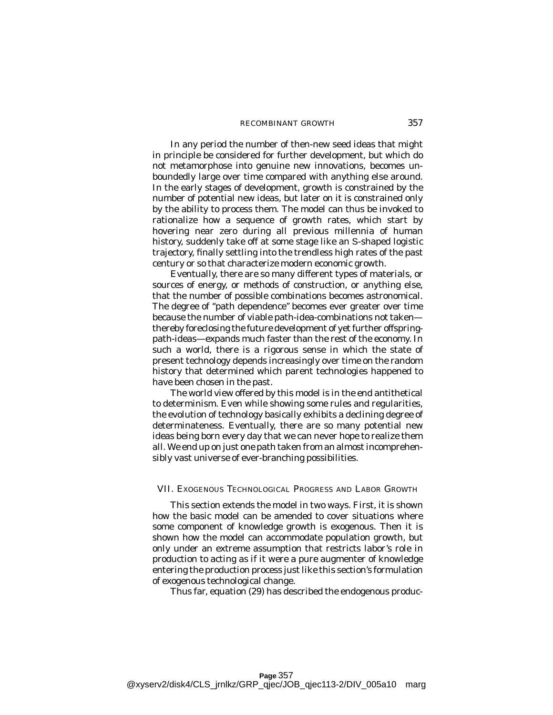#### *RECOMBINANT GROWTH* 357

In any period the number of then-new seed ideas that might in principle be considered for further development, but which do not metamorphose into genuine new innovations, becomes unboundedly large over time compared with anything else around. In the early stages of development, growth is constrained by the number of potential new ideas, but later on it is constrained only by the ability to process them. The model can thus be invoked to rationalize how a sequence of growth rates, which start by hovering near zero during all previous millennia of human history, suddenly take off at some stage like an S-shaped logistic trajectory, finally settling into the trendless high rates of the past century or so that characterize modern economic growth.

Eventually, there are so many different types of materials, or sources of energy, or methods of construction, or anything else, that the number of possible combinations becomes astronomical. The degree of ''path dependence'' becomes ever greater over time because the number of viable path-idea-combinations *not* taken thereby foreclosing the future development of yet further offspringpath-ideas—expands much faster than the rest of the economy. In such a world, there is a rigorous sense in which the state of present technology depends increasingly over time on the random history that determined which parent technologies happened to have been chosen in the past.

The world view offered by this model is in the end antithetical to determinism. Even while showing some rules and regularities, the evolution of technology basically exhibits a declining degree of determinateness. Eventually, there are so many potential new ideas being born every day that we can never hope to realize them all. We end up on just one path taken from an almost incomprehensibly vast universe of ever-branching possibilities.

#### VII. EXOGENOUS TECHNOLOGICAL PROGRESS AND LABOR GROWTH

This section extends the model in two ways. First, it is shown how the basic model can be amended to cover situations where some component of knowledge growth is exogenous. Then it is shown how the model can accommodate population growth, but only under an extreme assumption that restricts labor's role in production to acting *as if* it were a pure augmenter of knowledge entering the production process just like this section's formulation of exogenous technological change.

Thus far, equation (29) has described the endogenous produc-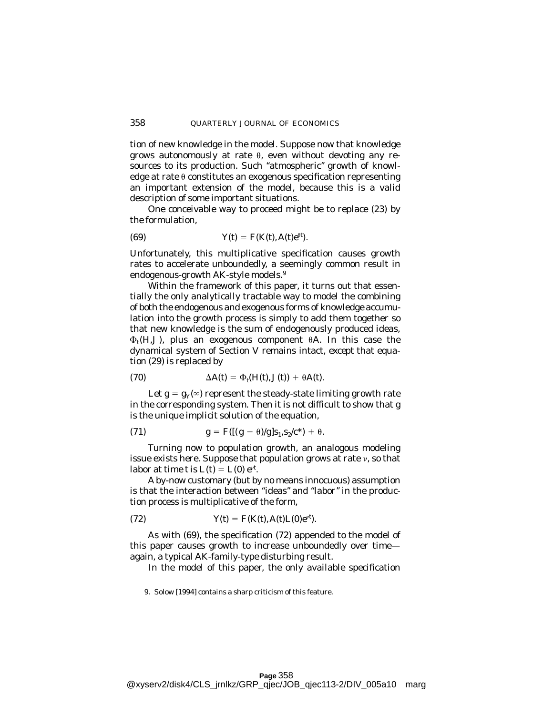tion of new knowledge in the model. Suppose now that knowledge grows autonomously at rate  $\theta$ , even without devoting any resources to its production. Such "atmospheric" growth of knowledge at rate  $\theta$  constitutes an exogenous specification representing an important extension of the model, because this is a valid description of some important situations.

One conceivable way to proceed might be to replace (23) by the formulation,

(69) 
$$
Y(t) = F(K(t), A(t)e^{\theta t}).
$$

Unfortunately, this multiplicative specification causes growth rates to accelerate unboundedly, a seemingly common result in endogenous-growth *AK*-style models.9

Within the framework of this paper, it turns out that essentially the only analytically tractable way to model the combining of both the endogenous and exogenous forms of knowledge accumulation into the growth process is simply to add them together so that new knowledge is the sum of endogenously produced ideas,  $\Phi_t(H, J)$ , plus an exogenous component  $\theta A$ . In this case the dynamical system of Section V remains intact, *except* that equation (29) is replaced by

(70) 
$$
\Delta A(t) = \Phi_t(H(t), J(t)) + \theta A(t).
$$

Let  $g = g_Y(\infty)$  represent the steady-state limiting growth rate in the corresponding system. Then it is not difficult to show that *g* is the unique implicit solution of the equation,

(71) 
$$
g = F([(g - \theta)/g]s_1, s_2/c^*) + \theta.
$$

Turning now to population growth, an analogous modeling issue exists here. Suppose that population grows at rate  $\nu$ , so that labor at time *t* is  $L(t) = L(0) e^{\nu t}$ .

A by-now customary (but by no means innocuous) assumption is that the interaction between ''ideas'' and ''labor'' in the production process is multiplicative of the form,

(72) 
$$
Y(t) = F(K(t), A(t)L(0)e^{\nu t}).
$$

As with (69), the specification (72) appended to the model of this paper causes growth to increase unboundedly over time again, a typical *AK*-family-type disturbing result.

In the model of this paper, the only available specification

<sup>9.</sup> Solow [1994] contains a sharp criticism of this feature.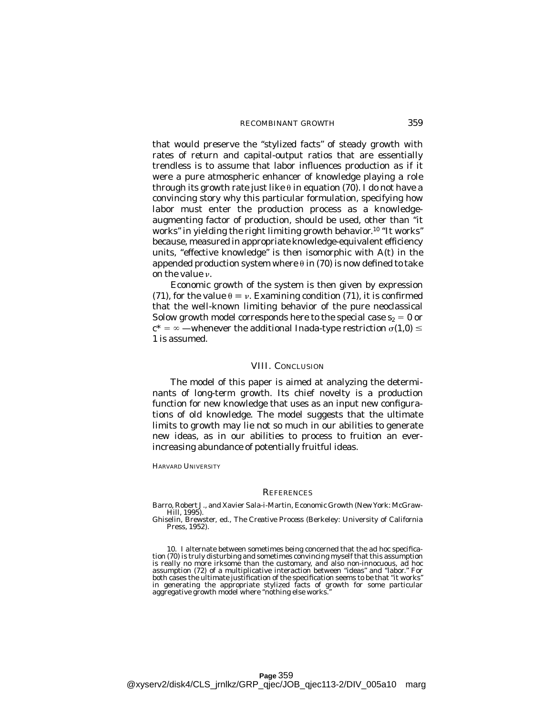that would preserve the ''stylized facts'' of steady growth with rates of return and capital-output ratios that are essentially trendless is to assume that labor influences production *as if* it were a pure atmospheric enhancer of knowledge playing a role through its growth rate just like  $\theta$  in equation (70). I do not have a convincing story why this particular formulation, specifying how labor must enter the production process as a knowledgeaugmenting factor of production, should be used, other than ''it works" in yielding the right limiting growth behavior.<sup>10</sup> "It works" because, measured in appropriate knowledge-equivalent efficiency units, "effective knowledge" is then isomorphic with  $A(t)$  in the appended production system where  $\theta$  in (70) is now defined to take on the value  $\nu$ .

Economic growth of the system is then given by expression (71), for the value  $\theta \equiv \nu$ . Examining condition (71), it is confirmed that the well-known limiting behavior of the pure neoclassical Solow growth model corresponds here to the special case  $s_2 = 0$  or  $c^* = \infty$  —whenever the additional Inada-type restriction  $\sigma(1,0) \leq$ 1 is assumed.

#### VIII. CONCLUSION

The model of this paper is aimed at analyzing the determinants of long-term growth. Its chief novelty is a production function for new knowledge that uses as an input new configurations of old knowledge. The model suggests that the ultimate limits to growth may lie not so much in our abilities to generate new ideas, as in our abilities to process to fruition an everincreasing abundance of potentially fruitful ideas.

HARVARD UNIVERSITY

#### **REFERENCES**

Barro, Robert J., and Xavier Sala-i-Martin, *Economic Growth* (New York: McGraw-Hill, 1995).

Ghiselin, Brewster, ed., *The Creative Process* (Berkeley: University of California Press, 1952).

10. I alternate between sometimes being concerned that the ad hoc specification (70) is truly disturbing and sometimes convincing myself that this assumption is really no more irksome than the customary, and also non-innocuous, ad hoc assumption (72) of a multiplicative interaction between ''ideas'' and ''labor.'' For both cases the ultimate justification of the specification seems to be that ''it works'' in generating the appropriate stylized facts of growth for some particular aggregative growth model where ''nothing else works.''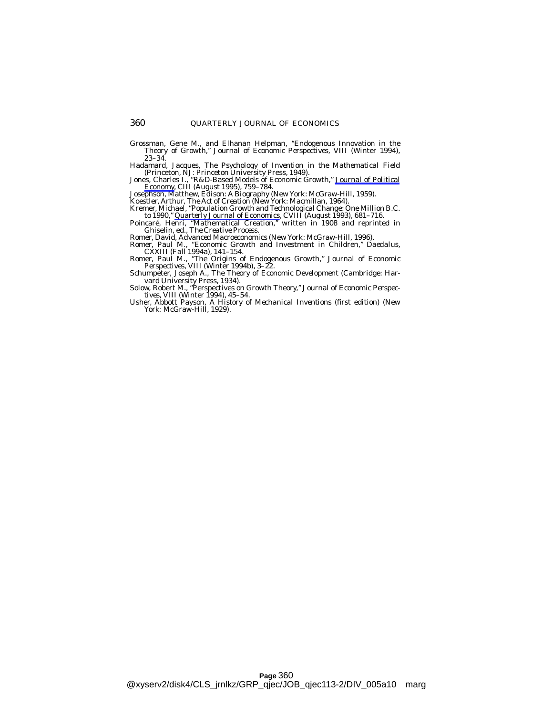Grossman, Gene M., and Elhanan Helpman, ''Endogenous Innovation in the Theory of Growth,'' *Journal of Economic Perspectives,* VIII (Winter 1994), 23–34.

Hadamard, Jacques, *The Psychology of Invention in the Mathematical Field*<br>(Princeton, NJ: Princeton University Press, 1949).<br>Jones, Charles I., "R&D-Based Models of Economic Growth," <u>Journal of Political</u><br><u>Economy</u> CIII

- Koestler, Arthur, *The Act of Creation* (New York: Macmillan, 1964).<br>Kremer, Michael, "Population Growth and Technological Change: One Million B.C.<br>to 1990," *Quarterly Journal of Economics*, CVIII (August 1993), 681–716.<br>
- 

Romer, David, *Advanced Macroeconomics* (New York: McGraw-Hill, 1996).

Romer, Paul M., "Economic Growth and Investment in Children," *Daedalus*,

CXXIII (Fall 1994a), 141–154. Romer, Paul M., ''The Origins of Endogenous Growth,'' *Journal of Economic Perspectives,* VIII (Winter 1994b), 3–22.

Schumpeter, Joseph A., *The Theory of Economic Development* (Cambridge: Harvard University Press, 1934).<br>Solow, Robert M., "Perspectives on Growth Theory," *Journal of Economic Perspec-*<br>*tives,* VIII (Winter 1994), 45–54.

Usher, Abbott Payson, *A History of Mechanical Inventions* (first edition) (New York: McGraw-Hill, 1929).